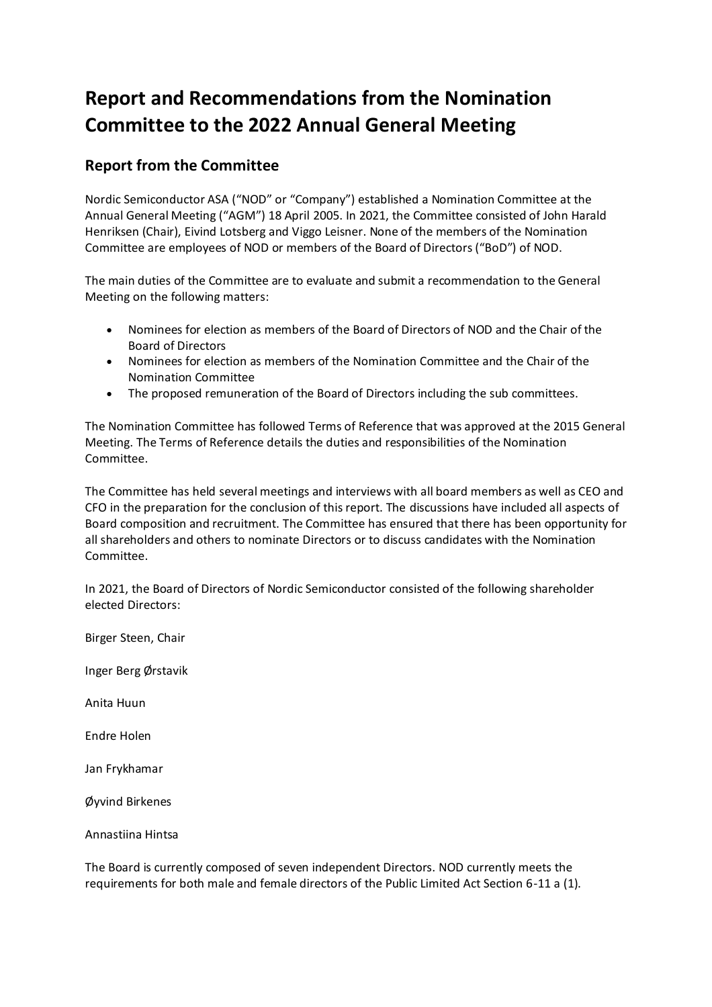# **Report and Recommendations from the Nomination Committee to the 2022 Annual General Meeting**

## **Report from the Committee**

Nordic Semiconductor ASA ("NOD" or "Company") established a Nomination Committee at the Annual General Meeting ("AGM") 18 April 2005. In 2021, the Committee consisted of John Harald Henriksen (Chair), Eivind Lotsberg and Viggo Leisner. None of the members of the Nomination Committee are employees of NOD or members of the Board of Directors ("BoD") of NOD.

The main duties of the Committee are to evaluate and submit a recommendation to the General Meeting on the following matters:

- Nominees for election as members of the Board of Directors of NOD and the Chair of the Board of Directors
- Nominees for election as members of the Nomination Committee and the Chair of the Nomination Committee
- The proposed remuneration of the Board of Directors including the sub committees.

The Nomination Committee has followed Terms of Reference that was approved at the 2015 General Meeting. The Terms of Reference details the duties and responsibilities of the Nomination Committee.

The Committee has held several meetings and interviews with all board members as well as CEO and CFO in the preparation for the conclusion of this report. The discussions have included all aspects of Board composition and recruitment. The Committee has ensured that there has been opportunity for all shareholders and others to nominate Directors or to discuss candidates with the Nomination Committee.

In 2021, the Board of Directors of Nordic Semiconductor consisted of the following shareholder elected Directors:

Birger Steen, Chair

Inger Berg Ørstavik

Anita Huun

Endre Holen

Jan Frykhamar

Øyvind Birkenes

Annastiina Hintsa

The Board is currently composed of seven independent Directors. NOD currently meets the requirements for both male and female directors of the Public Limited Act Section 6-11 a (1).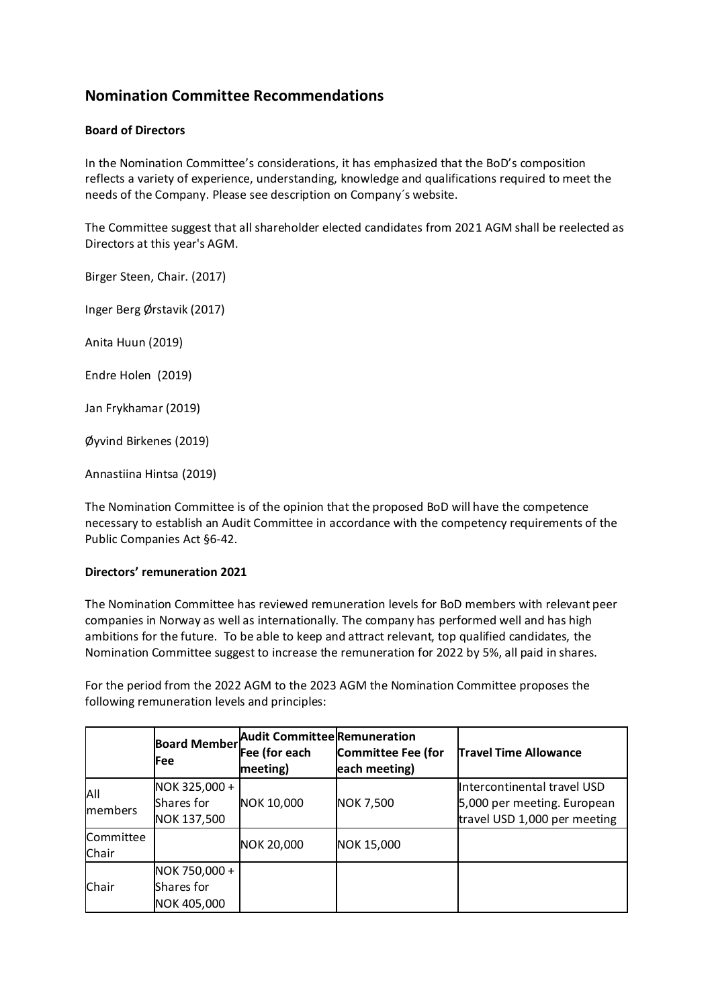## **Nomination Committee Recommendations**

### **Board of Directors**

In the Nomination Committee's considerations, it has emphasized that the BoD's composition reflects a variety of experience, understanding, knowledge and qualifications required to meet the needs of the Company. Please see description on Company´s website.

The Committee suggest that all shareholder elected candidates from 2021 AGM shall be reelected as Directors at this year's AGM.

Birger Steen, Chair. (2017)

Inger Berg Ørstavik (2017)

Anita Huun (2019)

Endre Holen (2019)

Jan Frykhamar (2019)

Øyvind Birkenes (2019)

Annastiina Hintsa (2019)

The Nomination Committee is of the opinion that the proposed BoD will have the competence necessary to establish an Audit Committee in accordance with the competency requirements of the Public Companies Act §6-42.

#### **Directors' remuneration 2021**

The Nomination Committee has reviewed remuneration levels for BoD members with relevant peer companies in Norway as well as internationally. The company has performed well and has high ambitions for the future. To be able to keep and attract relevant, top qualified candidates, the Nomination Committee suggest to increase the remuneration for 2022 by 5%, all paid in shares.

For the period from the 2022 AGM to the 2023 AGM the Nomination Committee proposes the following remuneration levels and principles:

|                    | <b>Board Member</b><br>Fee                 | Audit Committee Remuneration<br>Fee (for each<br>meeting) | <b>Committee Fee (for</b><br>each meeting) | <b>Travel Time Allowance</b>                                                               |
|--------------------|--------------------------------------------|-----------------------------------------------------------|--------------------------------------------|--------------------------------------------------------------------------------------------|
| All<br>members     | NOK 325,000 +<br>Shares for<br>NOK 137,500 | NOK 10,000                                                | <b>NOK 7,500</b>                           | Intercontinental travel USD<br>5,000 per meeting. European<br>travel USD 1,000 per meeting |
| Committee<br>Chair |                                            | NOK 20,000                                                | NOK 15,000                                 |                                                                                            |
| Chair              | NOK 750,000 +<br>Shares for<br>NOK 405,000 |                                                           |                                            |                                                                                            |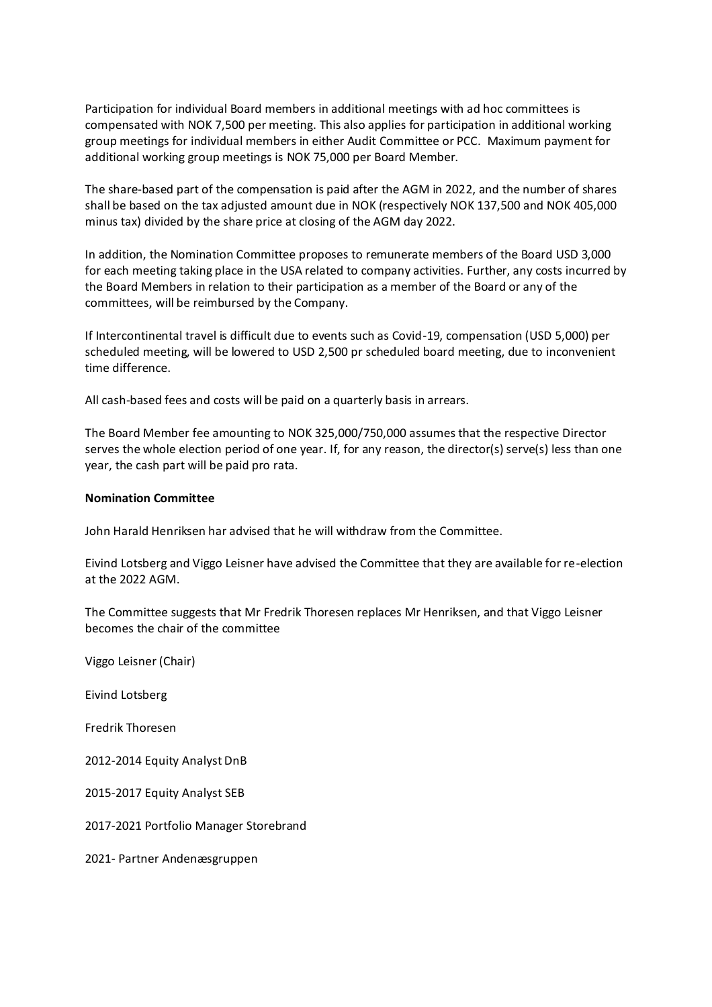Participation for individual Board members in additional meetings with ad hoc committees is compensated with NOK 7,500 per meeting. This also applies for participation in additional working group meetings for individual members in either Audit Committee or PCC. Maximum payment for additional working group meetings is NOK 75,000 per Board Member.

The share-based part of the compensation is paid after the AGM in 2022, and the number of shares shall be based on the tax adjusted amount due in NOK (respectively NOK 137,500 and NOK 405,000 minus tax) divided by the share price at closing of the AGM day 2022.

In addition, the Nomination Committee proposes to remunerate members of the Board USD 3,000 for each meeting taking place in the USA related to company activities. Further, any costs incurred by the Board Members in relation to their participation as a member of the Board or any of the committees, will be reimbursed by the Company.

If Intercontinental travel is difficult due to events such as Covid-19, compensation (USD 5,000) per scheduled meeting, will be lowered to USD 2,500 pr scheduled board meeting, due to inconvenient time difference.

All cash-based fees and costs will be paid on a quarterly basis in arrears.

The Board Member fee amounting to NOK 325,000/750,000 assumes that the respective Director serves the whole election period of one year. If, for any reason, the director(s) serve(s) less than one year, the cash part will be paid pro rata.

#### **Nomination Committee**

John Harald Henriksen har advised that he will withdraw from the Committee.

Eivind Lotsberg and Viggo Leisner have advised the Committee that they are available for re-election at the 2022 AGM.

The Committee suggests that Mr Fredrik Thoresen replaces Mr Henriksen, and that Viggo Leisner becomes the chair of the committee

Viggo Leisner (Chair)

Eivind Lotsberg

Fredrik Thoresen

2012-2014 Equity Analyst DnB

2015-2017 Equity Analyst SEB

2017-2021 Portfolio Manager Storebrand

2021- Partner Andenæsgruppen